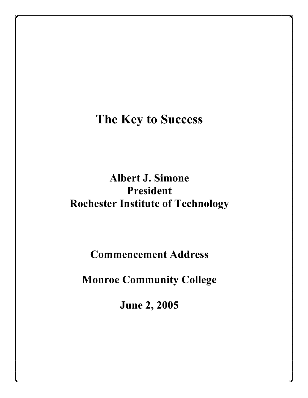## **The Key to Success**

## **Albert J. Simone President Rochester Institute of Technology**

**Commencement Address**

**Monroe Community College**

**June 2, 2005**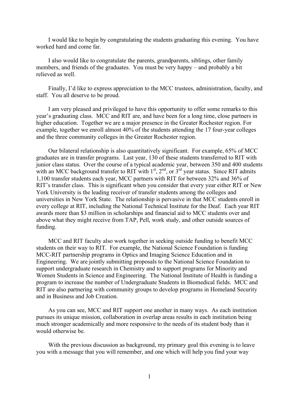I would like to begin by congratulating the students graduating this evening. You have worked hard and come far.

I also would like to congratulate the parents, grandparents, siblings, other family members, and friends of the graduates. You must be very happy – and probably a bit relieved as well.

Finally, I'd like to express appreciation to the MCC trustees, administration, faculty, and staff. You all deserve to be proud.

I am very pleased and privileged to have this opportunity to offer some remarks to this year's graduating class. MCC and RIT are, and have been for a long time, close partners in higher education. Together we are a major presence in the Greater Rochester region. For example, together we enroll almost 40% of the students attending the 17 four-year colleges and the three community colleges in the Greater Rochester region.

Our bilateral relationship is also quantitatively significant. For example, 65% of MCC graduates are in transfer programs. Last year, 130 of these students transferred to RIT with junior class status. Over the course of a typical academic year, between 350 and 400 students with an MCC background transfer to RIT with  $1<sup>st</sup>$ ,  $2<sup>nd</sup>$ , or  $3<sup>rd</sup>$  year status. Since RIT admits 1,100 transfer students each year, MCC partners with RIT for between 32% and 36% of RIT's transfer class. This is significant when you consider that every year either RIT or New York University is the leading receiver of transfer students among the colleges and universities in New York State. The relationship is pervasive in that MCC students enroll in every college at RIT, including the National Technical Institute for the Deaf. Each year RIT awards more than \$3 million in scholarships and financial aid to MCC students over and above what they might receive from TAP, Pell, work study, and other outside sources of funding.

MCC and RIT faculty also work together in seeking outside funding to benefit MCC students on their way to RIT. For example, the National Science Foundation is funding MCC-RIT partnership programs in Optics and Imaging Science Education and in Engineering. We are jointly submitting proposals to the National Science Foundation to support undergraduate research in Chemistry and to support programs for Minority and Women Students in Science and Engineering. The National Institute of Health is funding a program to increase the number of Undergraduate Students in Biomedical fields. MCC and RIT are also partnering with community groups to develop programs in Homeland Security and in Business and Job Creation.

As you can see, MCC and RIT support one another in many ways. As each institution pursues its unique mission, collaboration in overlap areas results in each institution being much stronger academically and more responsive to the needs of its student body than it would otherwise be.

With the previous discussion as background, my primary goal this evening is to leave you with a message that you will remember, and one which will help you find your way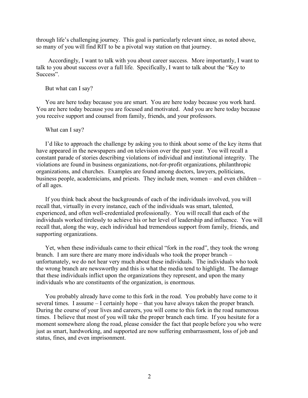through life's challenging journey. This goal is particularly relevant since, as noted above, so many of you will find RIT to be a pivotal way station on that journey.

Accordingly, I want to talk with you about career success. More importantly, I want to talk to you about success over a full life. Specifically, I want to talk about the "Key to Success".

But what can I say?

You are here today because you are smart. You are here today because you work hard. You are here today because you are focused and motivated. And you are here today because you receive support and counsel from family, friends, and your professors.

What can I say?

I'd like to approach the challenge by asking you to think about some of the key items that have appeared in the newspapers and on television over the past year. You will recall a constant parade of stories describing violations of individual and institutional integrity. The violations are found in business organizations, not-for-profit organizations, philanthropic organizations, and churches. Examples are found among doctors, lawyers, politicians, business people, academicians, and priests. They include men, women – and even children – of all ages.

If you think back about the backgrounds of each of the individuals involved, you will recall that, virtually in every instance, each of the individuals was smart, talented, experienced, and often well-credentialed professionally. You will recall that each of the individuals worked tirelessly to achieve his or her level of leadership and influence. You will recall that, along the way, each individual had tremendous support from family, friends, and supporting organizations.

Yet, when these individuals came to their ethical "fork in the road", they took the wrong branch. I am sure there are many more individuals who took the proper branch – unfortunately, we do not hear very much about these individuals. The individuals who took the wrong branch are newsworthy and this is what the media tend to highlight. The damage that these individuals inflict upon the organizations they represent, and upon the many individuals who are constituents of the organization, is enormous.

You probably already have come to this fork in the road. You probably have come to it several times. I assume – I certainly hope – that you have always taken the proper branch. During the course of your lives and careers, you will come to this fork in the road numerous times. I believe that most of you will take the proper branch each time. If you hesitate for a moment somewhere along the road, please consider the fact that people before you who were just as smart, hardworking, and supported are now suffering embarrassment, loss of job and status, fines, and even imprisonment.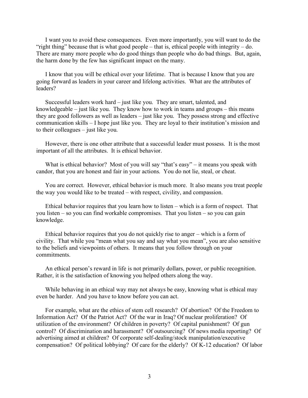I want you to avoid these consequences. Even more importantly, you will want to do the "right thing" because that is what good people – that is, ethical people with integrity – do. There are many more people who do good things than people who do bad things. But, again, the harm done by the few has significant impact on the many.

I know that you will be ethical over your lifetime. That is because I know that you are going forward as leaders in your career and lifelong activities. What are the attributes of leaders?

Successful leaders work hard – just like you. They are smart, talented, and knowledgeable – just like you. They know how to work in teams and groups – this means they are good followers as well as leaders – just like you. They possess strong and effective communication skills – I hope just like you. They are loyal to their institution's mission and to their colleagues – just like you.

However, there is one other attribute that a successful leader must possess. It is the most important of all the attributes. It is ethical behavior.

What is ethical behavior? Most of you will say "that's easy" – it means you speak with candor, that you are honest and fair in your actions. You do not lie, steal, or cheat.

You are correct. However, ethical behavior is much more. It also means you treat people the way you would like to be treated – with respect, civility, and compassion.

Ethical behavior requires that you learn how to listen – which is a form of respect. That you listen – so you can find workable compromises. That you listen – so you can gain knowledge.

Ethical behavior requires that you do not quickly rise to anger – which is a form of civility. That while you "mean what you say and say what you mean", you are also sensitive to the beliefs and viewpoints of others. It means that you follow through on your commitments.

An ethical person's reward in life is not primarily dollars, power, or public recognition. Rather, it is the satisfaction of knowing you helped others along the way.

While behaving in an ethical way may not always be easy, knowing what is ethical may even be harder. And you have to know before you can act.

For example, what are the ethics of stem cell research? Of abortion? Of the Freedom to Information Act? Of the Patriot Act? Of the war in Iraq? Of nuclear proliferation? Of utilization of the environment? Of children in poverty? Of capital punishment? Of gun control? Of discrimination and harassment? Of outsourcing? Of news media reporting? Of advertising aimed at children? Of corporate self-dealing/stock manipulation/executive compensation? Of political lobbying? Of care for the elderly? Of K-12 education? Of labor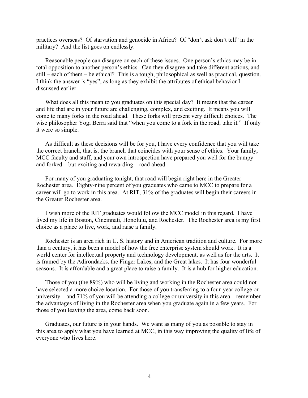practices overseas? Of starvation and genocide in Africa? Of "don't ask don't tell" in the military? And the list goes on endlessly.

Reasonable people can disagree on each of these issues. One person's ethics may be in total opposition to another person's ethics. Can they disagree and take different actions, and still – each of them – be ethical? This is a tough, philosophical as well as practical, question. I think the answer is "yes", as long as they exhibit the attributes of ethical behavior I discussed earlier.

What does all this mean to you graduates on this special day? It means that the career and life that are in your future are challenging, complex, and exciting. It means you will come to many forks in the road ahead. These forks will present very difficult choices. The wise philosopher Yogi Berra said that "when you come to a fork in the road, take it." If only it were so simple.

As difficult as these decisions will be for you, I have every confidence that you will take the correct branch, that is, the branch that coincides with your sense of ethics. Your family, MCC faculty and staff, and your own introspection have prepared you well for the bumpy and forked – but exciting and rewarding – road ahead.

For many of you graduating tonight, that road will begin right here in the Greater Rochester area. Eighty-nine percent of you graduates who came to MCC to prepare for a career will go to work in this area. At RIT, 31% of the graduates will begin their careers in the Greater Rochester area.

I wish more of the RIT graduates would follow the MCC model in this regard. I have lived my life in Boston, Cincinnati, Honolulu, and Rochester. The Rochester area is my first choice as a place to live, work, and raise a family.

Rochester is an area rich in U. S. history and in American tradition and culture. For more than a century, it has been a model of how the free enterprise system should work. It is a world center for intellectual property and technology development, as well as for the arts. It is framed by the Adirondacks, the Finger Lakes, and the Great lakes. It has four wonderful seasons. It is affordable and a great place to raise a family. It is a hub for higher education.

Those of you (the 89%) who will be living and working in the Rochester area could not have selected a more choice location. For those of you transferring to a four-year college or university – and 71% of you will be attending a college or university in this area – remember the advantages of living in the Rochester area when you graduate again in a few years. For those of you leaving the area, come back soon.

Graduates, our future is in your hands. We want as many of you as possible to stay in this area to apply what you have learned at MCC, in this way improving the quality of life of everyone who lives here.